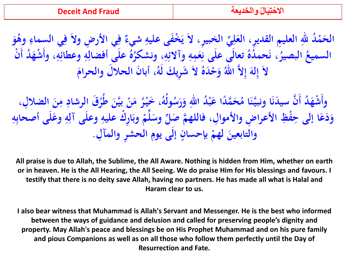**َ و ُ وى ي السماء ي األر ِض والَ ف ف ِ ِ ِ ٌ** <mark>الحَمْدُ للهِ العليمِ القديرِ، العَلِيِّ الخبيرِ، لاَ يَخْفَى عليهِ شيءٌ</mark> **ِ ِ َ ِ و وعطائ و علَى أفضال ُ ه ِ** .<br>|<br>| **ِ اپنی**<br>ا **، ونشكر و وآالئ و َمِ ع تعالَى علَى ن ُ ده ُ َحم ، ن ِ ہی**<br>ا **ِ ِ** </sup><br>م **البصير ُ** السميعُ البصيرُ، نَحمدُهُ تعالى على نِعَمِهِ وآلائِهِ، ونشكَرُهُ على أفضالِهِ وعطائِهِ، وأَشْهَدُ أَنْ **ْ َ** لاَ إِلاَّ اللَّٰهُ وَحْدَهُ لاَ شَرِيكَ لَهُ، أبانَ الحلالَ والحرامَ **إ َ ِ**

وأَشْهَدُ أَنَّ سيدَنَا ونبيَّنَا مُحَمَّدًا عَبْدُ اللهِ وَرَسُولُهُ، خَيْرُ مَنْ بيَّنَ طُرُقَ الرشادِ مِنَ<br>محمد الشهر المسلمة **ْ** ن<br>ب **ِ ر ُ ط ن َّ بي َن م َ ْ** </sup><br>المراد **ولهُ، ځَيْرُ ْ** حَمَّلًا عَبْدُ اللهِ وَرَسُ<sup>ّ</sup> **َ َ ً َ ُ** أَنَّ سيدَنَا ونبيَّنَا مُحَمَّدًا عَبْدُ اللهِ وَرَسُولُهُ، خَيْرُ مَنْ بِيَّنَ طُرُقَ الرشادِ مِنَ الضلالِ، **َ ِ** وَدَعَا إلى حِفْظِ الأعراضِ والأموالِ، فاللهمَّ صَلِّ وسَلِّمْ وبَارِكْ عليهِ وعلَى آلِهِ وعَلَى أصحابِهِ **ِ ِ ْ با**<br>. **ْ َ ْ َ َ ِ** ِ<br>ب **ِل الحشِر والمآ إلَى يوم بإحسان لهم والتابعين . ِ ٍ ْ َ**

**All praise is due to Allah, the Sublime, the All Aware. Nothing is hidden from Him, whether on earth or in heaven. He is the All Hearing, the All Seeing. We do praise Him for His blessings and favours. I testify that there is no deity save Allah, having no partners. He has made all what is Halal and Haram clear to us.** 

**I also bear witness that Muhammad is Allah's Servant and Messenger. He is the best who informed between the ways of guidance and delusion and called for preserving people's dignity and property. May Allah's peace and blessings be on His Prophet Muhammad and on his pure family and pious Companions as well as on all those who follow them perfectly until the Day of Resurrection and Fate.**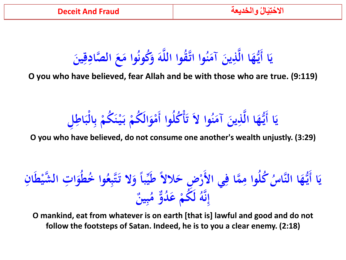**َ** يَا أَيُّهَا الَّذِينَ آمَنُوا اتَّقُوا اللَّهَ وَكُونُوا مَعَ الصَّادِقِينَ **َ َ َ َ َ َ ي َ** ا **يا: َ ِ**

**O you who have believed, fear Allah and be with those who are true. (9:119)**

ا أَيُّهَا الَّذِينَ آمَنُوا لاَ تَأْكُلُوا أَمْوَالَكُمْ بَيْنَكُمْ بِالْبَاطِلِ **ياءِ** ا **يا: َ َ َ ي َ َ ْ ب ْ َ ْ َ ْ َ ْ** ِ<br>ب **ب**<br>۶

**O you who have believed, do not consume one another's wealth unjustly. (3:29)**

**انِ ْط شي ِت ال َّ و ُ خط ُ وا َ ا َ ُ** ُّ كُلُوا مِمَّا فِي الأَرْضِ حَلالاً طَيِّباً وَلا تَتَّبِعُ<br>وَمَنْ الْمُسْتَمَّةِ عَلَيْهِمْ مَنْ الْمُسْتَمَرِ **↓ ُ ً َ** ا<br>ما **َ ِ ِ َّاس ا الن ُّ ه ا أ َ ي َ ياءِ** ا را<br>با **و دٌّ ُ َ ع َ ُكم ُ و َّ ْ ل ن ِ إ ٌ ين ب </del> ُ م**

**O mankind, eat from whatever is on earth [that is] lawful and good and do not follow the footsteps of Satan. Indeed, he is to you a clear enemy. (2:18)**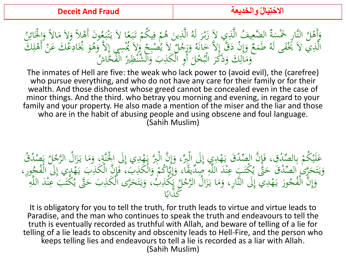$\mathcal{L}$ مُونَ أَهْلاً وَلاَ مَ<br>أَحَمُّ مُزَارِدًا وَ و<br>. النَّارِ خَمْسَةٌ الضَّعِيفُ الَّذِي لاَ زَبْرَ لَهُ الَّذِينَ هُمْ فِيكُمْ تَبَعًا لاَ يَتْبَعُ<br>إِذْ أَنْهُ إِنَّهُ إِلَيْهِ إِنْ يَتَّ الذَّيَنَ إِنَّهُ يَهْ وَإِنْهَا وَ الْإِنَّةُ وَ الْإِنَّةُ وَ الزَّ بر<br>ا :<br>;<br>; ه<br>تم يا<br>. و<br>م  $\ddot{\cdot}$ رّ<br>ح ْ ي ِ م<br>و  $\ddot{\phantom{0}}$ ر<br>ا اب<br>د ز<br>. ي ِ  $\frac{1}{\sqrt{2}}$ وَأَهْلُ النَّارِ خَمْسَةٌ الضَّعِيفُ الَّذِي لاَ زَبْرَ لَهُ الَّذِينَ هُمْ فِيكُمْ تَبَعًا لاَ يَتْبَعُونَ أَهْلاً وَلاَ مَالاً وَالْخَائِنُ<br>الَّذِي لاَ مَنْهُ مَا لَهُ ما َ يُّ مَانْ دَقِّ الدَّ بَمَانَهُ مَ جُلاً مُعْ و<br>اا وَالْخَائِنُ<br>عَقْوْنِ بَيْرَ ِ<br>لگ َ .<br>-<br>-'<br>وَلاَ يُمْسِي إِلاَّ وَهُوَ يُخَادِعُكَ عَنْ<br>\* : إِمْرَاْتُ عَنْ الْمُجْمَعَةِ <u>با</u> َ َ و<br>پ ح<br>ا و لاَ يُصْبِحُ<br>إِحْمَانِ يَصْبِحُ ل وَإِنْ دَقَّ إِلاَّ خَانَهُ وَرَجُهُ<br>رَأَا وَ يَزَيَّجُ الْهُ ذَارَ أَ َ م<br>و  $\overline{\phantom{a}}$  $\int$ إ ہ<br>پر  $\sum_{i=1}^{\infty}$ الَّذِي لاَ يَخْفَى لَهُ طَمَعٌ وَإِنْ دَقَّ إِلاَّ خَانَهُ وَرَجُلٌ لاَ يُصْبِحُ وَلاَ يُمْسِي إِلاَّ وَهُوَ يُخَادِعُكَ عَنْ أَهْلِكَ<br>الَّذِي لاَ يَخْفَى لَهُ طَمَعٌ وَإِنْ دَقَّ إِلاَّ خَانَهُ وَرَجُلٌ لاَ يُصْبِحُ وَل  $\boldsymbol{\mathsf{A}}$ ِّ ِ **م** وَمَالِكَ<br>. ِ  $\mathcal{L}$ و<br>ا ُ الْفُحَّاشُ اب<br>ا وَذَكَّرَ الْبُخْلَ أَوِ الْكَذِبَ وَالشَّنْظِيرُ<br>وَذَكَّرَ الْبُخْلَ أَوِ الْكَذِبَ وَالشَّنْظِيرُ و<br>-ِ ِ<br>. ر<br>.. َ

The inmates of Hell are five: the weak who lack power to (avoid evil), the (carefree) who pursue everything, and who do not have any care for their family or for their wealth. And those dishonest whose greed cannot be concealed even in the case of minor things. And the third. who betray you morning and evening, in regard to your family and your property. He also made a mention of the miser and the liar and those who are in the habit of abusing people and using obscene and foul language. (Sahih Muslim)

عَلَيْكُمْ بِالصِّدْقِ، فَإِنَّ الصِّدْقَ يَهْدِي إِلَى الْبِرِّ، وَإِنَّ الْبِرَّ يَهْدِي إِلَى الْجُنَّةِ، وَمَا يَزَالُ الرَّجُلُ يَصْدُقُ<br>بَهَ جَسِم الصَّاْفَي جَةً مِجْهَ سِيءٌ؟ اللَّه مِي إِنَّي أَيَّاكُ وَالْأَكَان ا ز<br>. ید<br>ر **م**<br>. َ <u>بة</u>  $\int$ ∫<br>⊶ ە م یا:<br>ا  $\int$ إ َ  $\int$ ِ **ام** یا<br>ا ا ِّفْ ِ<br>ب ب ا<br>ا **ابر**<br>ب ى<br>ئە ي ل م<br>أ ج ديكْتَبَ عِنْدَ اللَّهِ صِدِّيقًا، وَإِيَّا كُمْ وَالْكَذِبَ، فَإِنَّ الْكَذِبَ يَهْدِي إِلَى الْهِ<br>ديمَ عِنْدَ اللَّهِ صِدِّيقًا، وَإِيَّا كُمْ وَالْكَذِبَ، فَإِنَّ الْكَذِبَ يَهْدِي إِلَى الْهِ  $\int$ ِ ىم<br>« يا<br>.  $\frac{1}{2}$ ا ف<br>أ ِ<br>ِ و<br>. ْ يتا<br>ويا ہر<br>ا إ َ .<br>م ل<br>ر ه<br>. ।<br>द وَيَتَحَرَّىٰ اَلصَّدْقُ حَتَّى يُكْتَبَ عِنْدَ اللَّهِ صَدِّيقًا، وَإِيَّاكُمْ وَالْكَذِبَ، فَإِنَّ الْكَذِبَ يَهْدِي إِلَى الْفُجُورِ،<br>سِدِی الْفُرُسِ وَ سِدِدِ اللَّهِ سَدِيدِ سَارُ الصَّامِ تَحْزُنِهُمْ سِرَبَہُ، وَلَ َ م<br>ا ، ت یا<br>: َ پر<br>آھ و<br>ججر<br>تة .<br>يُكْتَبَ عِنْدَ ال<sub>ِ</sub> ل<br>ا ه<br>نم َ بُّ، وَيَتَحَرَّى الْكَذِبَ حَتَّى يُّ َ ِ َ ت یا<br>: َ ُکذِبُ<br>ُاُُگُّا ِ ا<br>مان<br>مان ر<br>نق  $\frac{c}{c}$ ل **ء** ورَ يَهْدِيَ إِلَى النَّارِ، وَمَا يَزَالُ الرَّجُ ا َ يا<br>.  $\mathbf{A}$ َ  $\int$ ِ **e** يا<br>.  $\lambda$ **م** وَإِنَّ الْفُجُورَ يَهْدِيَ إِلَى النَّارِ، وَمَا يَزَالُ الرَّجُلُ يَكْذِبُ، وَيَتَحَرَّى اَلْكَذِبَ حَتَّى يُكْتَبَ عِنْدَ اللَّهِ  $\int$ إ َ ر<br>ِم ا ذاب َّ َك ب<br>،

It is obligatory for you to tell the truth, for truth leads to virtue and virtue leads to Paradise, and the man who continues to speak the truth and endeavours to tell the truth is eventually recorded as truthful with Allah, and beware of telling of a lie for telling of a lie leads to obscenity and obscenity leads to Hell-Fire, and the person who keeps telling lies and endeavours to tell a lie is recorded as a liar with Allah. (Sahih Muslim)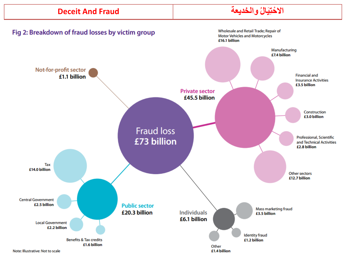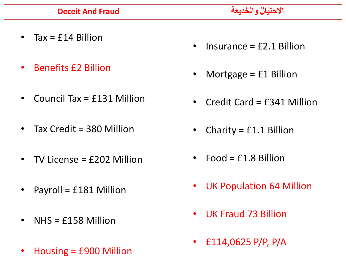- Tax =  $f14$  Billion
- Benefits £2 Billion
- Council Tax = £131 Million
- Tax Credit = 380 Million
- TV License = £202 Million
- Payroll = £181 Million
- NHS = £158 Million
- Housing = £900 Million
- Insurance  $=$  £2.1 Billion
- Mortgage = £1 Billion
- Credit Card = £341 Million
- Charity =  $£1.1$  Billion
- Food =  $£1.8$  Billion
- UK Population 64 Million
- UK Fraud 73 Billion
- £114,0625 P/P, P/A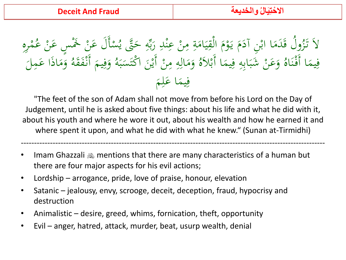ِرهِ م **ه**<br>. **گ** َسْأَلَ عَنْ خَمْسٍ عَنْ عُمْ<br>فَيَقْدَمَتْهُمْ اب<br>ا  $\overline{a}$ **ابر** د<br>أد **بہ**<br>ب ي<br>. ولُ قَدَمَا ابْنِ آدَمَ يَوْمَ الْقِيَامَةِ مِنْ عِنْدِ رَبِّهِ حَتَّى يُّهِ<br>يَهُ ہ<br>ِ∘ ِ بع المعر ل<br>ن  $\frac{1}{2}$ ه<br>.<br>. ا بي المسلمان<br>المسلمان<br>المسلمان  $\mathbf{A}$ <u>بة</u>  $\mathcal{A}$  $\ddot{\ddot{\cdot}}$ ي  $\ddot{a}$ </sub>ا مُ **م** يا<br>. م ا<br>ا <u>ب</u><br>.  $\mathcal{A}$ لاَ تَزُّوْ  $\overline{\phantom{0}}$ ل وَمَاذَا عَمِ  $\mathcal{A}$ َ وَفِيمَ أَنْفَقَهُ <u>ز</u>  $\mathfrak{g}$  $\frac{1}{2}$ َ ام<br>ا وَمَالِهِ مِنْ أَيْنَ اكْتَسَبَهُ  $\ddot{\cdot}$ بر  $\overline{a}$ ا  $\ddot{\phantom{0}}$ يا:<br>. ن<br>.<br>.  $\mathbf{A}$ ِ ِ  $\mathcal{A}$ َ وَعَنْ شَبَابِهِ فِيمَا أَبْلاَهُ  $\blacktriangle$  $\frac{1}{2}$ ِ ِ<br>ب  $\ddot{\cdot}$ َ ُ فِيمَا أَفْنَاهُ  $\frac{1}{2}$ ن ْ  $\triangle$  $\frac{1}{2}$ فِيمَا عَلِمَ  $\blacktriangle$  $\ddot{\bullet}$  $\mathfrak{g}$  $\overline{\mathfrak{l}}$ **ک** 

"The feet of the son of Adam shall not move from before his Lord on the Day of Judgement, until he is asked about five things: about his life and what he did with it, about his youth and where he wore it out, about his wealth and how he earned it and where spent it upon, and what he did with what he knew." (Sunan at-Tirmidhi)

-------------------------------------------------------------------------------------------------------------------

- Imam Ghazzali  $\omega$  mentions that there are many characteristics of a human but there are four major aspects for his evil actions;
- Lordship arrogance, pride, love of praise, honour, elevation
- Satanic jealousy, envy, scrooge, deceit, deception, fraud, hypocrisy and destruction
- Animalistic desire, greed, whims, fornication, theft, opportunity
- Evil anger, hatred, attack, murder, beat, usurp wealth, denial